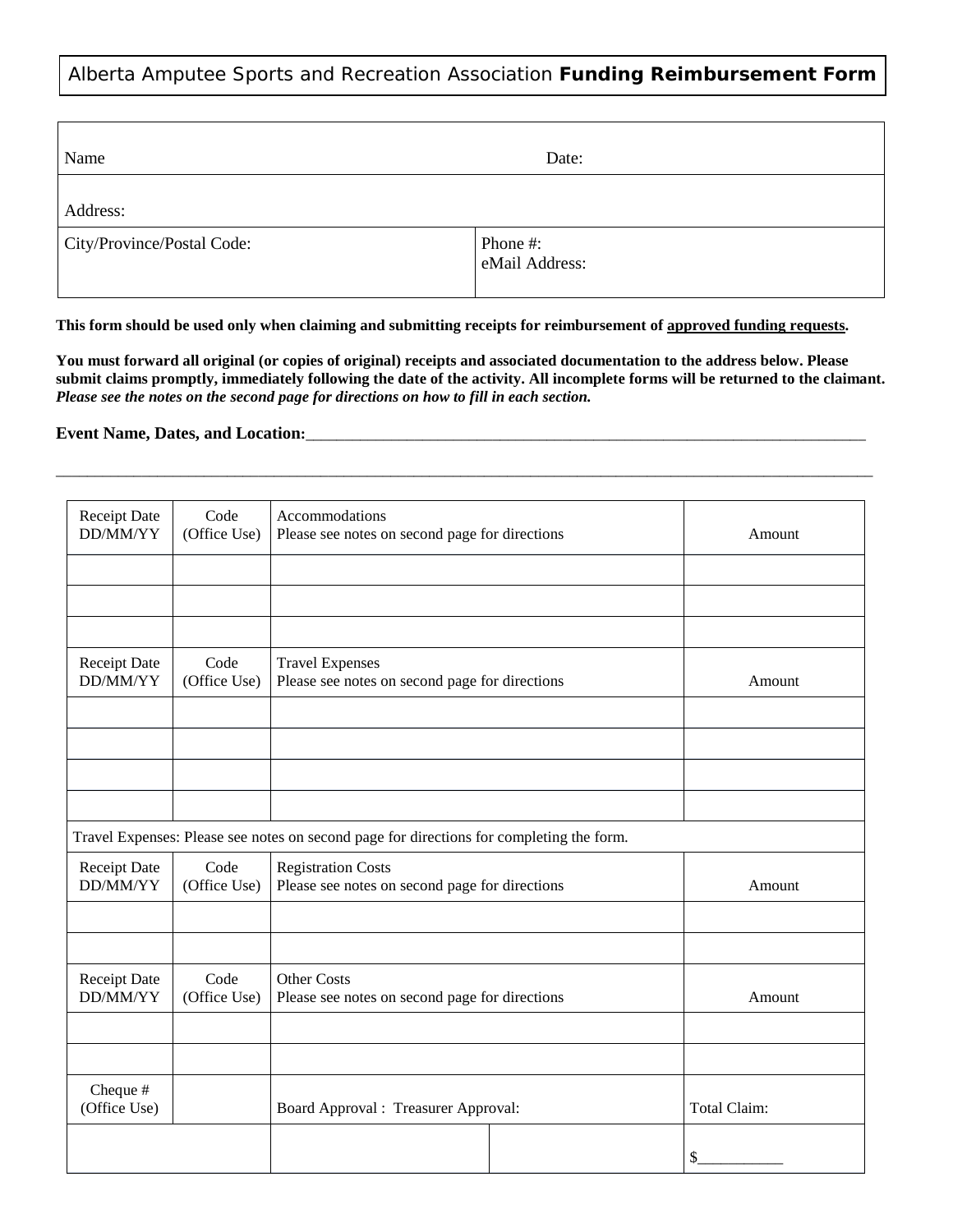# Alberta Amputee Sports and Recreation Association **Funding Reimbursement Form**

| Name                       | Date:                      |
|----------------------------|----------------------------|
| Address:                   |                            |
| City/Province/Postal Code: | Phone #:<br>eMail Address: |

This form should be used only when claiming and submitting receipts for reimbursement of approved funding requests.

You must forward all original (or copies of original) receipts and associated documentation to the address below. Please submit claims promptly, immediately following the date of the activity. All incomplete forms will be returned to the claimant. *Please see the notes on the second page for directions on how to fill in each section.*

\_\_\_\_\_\_\_\_\_\_\_\_\_\_\_\_\_\_\_\_\_\_\_\_\_\_\_\_\_\_\_\_\_\_\_\_\_\_\_\_\_\_\_\_\_\_\_\_\_\_\_\_\_\_\_\_\_\_\_\_\_\_\_\_\_\_\_\_\_\_\_\_\_\_\_\_\_\_\_\_\_\_\_\_\_\_\_\_\_\_\_\_\_\_\_\_\_\_\_\_\_\_\_\_\_

### **Event Name, Dates, and Location:**\_\_\_\_\_\_\_\_\_\_\_\_\_\_\_\_\_\_\_\_\_\_\_\_\_\_\_\_\_\_\_\_\_\_\_\_\_\_\_\_\_\_\_\_\_\_\_\_\_\_\_\_\_\_\_\_\_\_\_\_\_\_\_\_\_\_\_\_\_\_\_\_

| Receipt Date<br>DD/MM/YY                                                                 | Code<br>(Office Use) | Accommodations<br>Please see notes on second page for directions | Amount |              |  |
|------------------------------------------------------------------------------------------|----------------------|------------------------------------------------------------------|--------|--------------|--|
|                                                                                          |                      |                                                                  |        |              |  |
|                                                                                          |                      |                                                                  |        |              |  |
|                                                                                          |                      |                                                                  |        |              |  |
|                                                                                          |                      |                                                                  |        |              |  |
| <b>Receipt Date</b>                                                                      | Code                 | <b>Travel Expenses</b>                                           |        |              |  |
| DD/MM/YY                                                                                 | (Office Use)         | Please see notes on second page for directions                   | Amount |              |  |
|                                                                                          |                      |                                                                  |        |              |  |
|                                                                                          |                      |                                                                  |        |              |  |
|                                                                                          |                      |                                                                  |        |              |  |
|                                                                                          |                      |                                                                  |        |              |  |
| Travel Expenses: Please see notes on second page for directions for completing the form. |                      |                                                                  |        |              |  |
| <b>Receipt Date</b>                                                                      | Code                 | <b>Registration Costs</b>                                        |        |              |  |
| DD/MM/YY                                                                                 | (Office Use)         | Please see notes on second page for directions                   | Amount |              |  |
|                                                                                          |                      |                                                                  |        |              |  |
|                                                                                          |                      |                                                                  |        |              |  |
| Receipt Date                                                                             | Code                 | <b>Other Costs</b>                                               |        |              |  |
| DD/MM/YY                                                                                 | (Office Use)         | Please see notes on second page for directions                   |        | Amount       |  |
|                                                                                          |                      |                                                                  |        |              |  |
|                                                                                          |                      |                                                                  |        |              |  |
| Cheque #                                                                                 |                      |                                                                  |        |              |  |
| (Office Use)                                                                             |                      | Board Approval : Treasurer Approval:                             |        | Total Claim: |  |
|                                                                                          |                      |                                                                  |        |              |  |
|                                                                                          |                      |                                                                  |        | \$           |  |